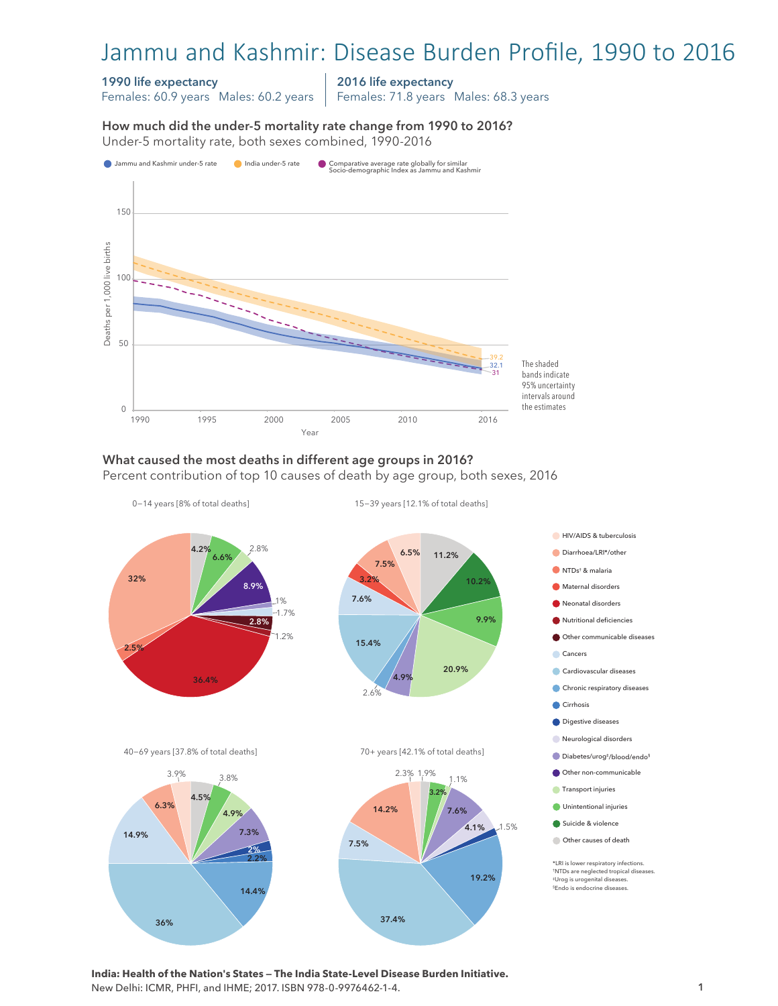# Jammu and Kashmir: Disease Burden Profile, 1990 to 2016

#### 1990 life expectancy

Females: 60.9 years Males: 60.2 years

2016 life expectancy

Females: 71.8 years Males: 68.3 years

How much did the under-5 mortality rate change from 1990 to 2016?

How much did the under-5 mortality rate change from 1990 to 2016? Under-5 mortality rate, both sexes combined, 1990-2016 Under-5 mortality rate, both sexes combined, 1990-2016



### What caused the most deaths in different age groups in 2016?

Percent contribution of top 10 causes of death by age group, both sexes, 2016



**India: Health of the Nation's States — The India State-Level Disease Burden Initiative.**  New Delhi: ICMR, PHFI, and IHME; 2017. ISBN 978-0-9976462-1-4.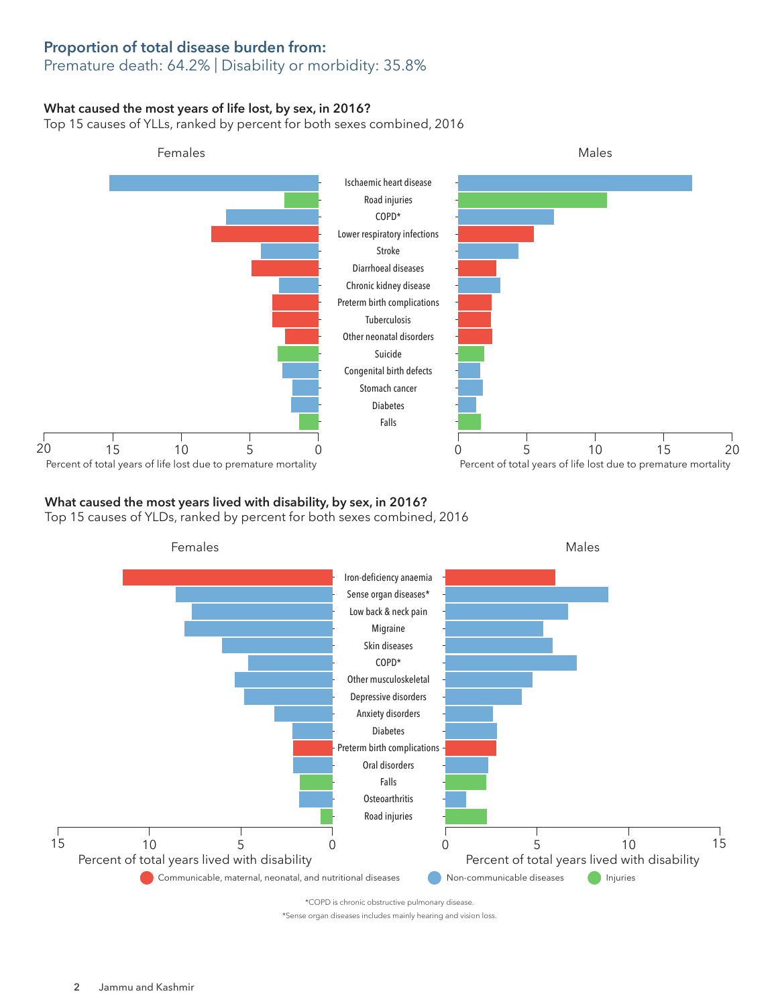## Proportion of total disease burden from:

## Premature death: 64.2% | Disability or morbidity: 35.8%

#### What caused the most years of life lost, by sex, in 2016?

Top 15 causes of YLLs, ranked by percent for both sexes combined, 2016



## What caused the most years lived with disability, by sex, in 2016?

Top 15 causes of YLDs, ranked by percent for both sexes combined, 2016



\*Sense organ diseases includes mainly hearing and vision loss.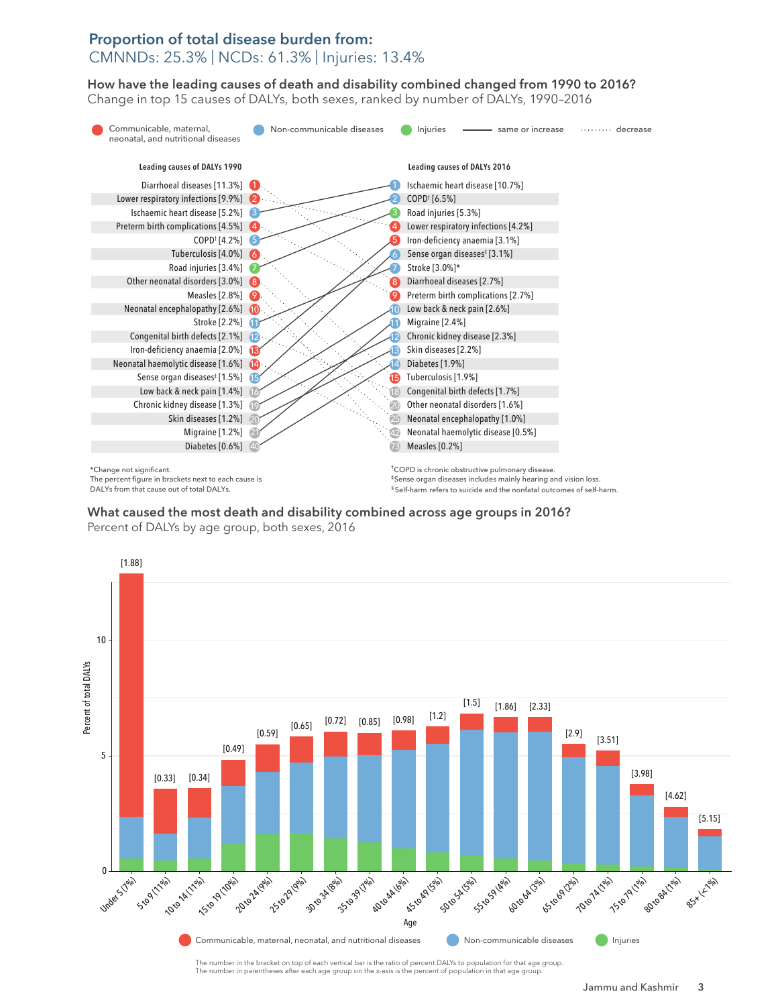## Proportion of total disease burden from: CMNNDs: 25.3% | NCDs: 61.3% | Injuries: 13.4%

How have the leading causes of death and disability combined changed from 1990 to 2016? How have the leading causes of death and disability combined changed from 1990 to 2016? Change in top 15 causes of DALYs, both sexes, ranked by number of DALYs, 1990–2016 Change in top 15 causes of DALYs, both sexes, ranked by number of DALYs, 1990–2016



\*Change not significant. The percent figure in brackets next to each cause is DALYs from that cause out of total DALYs.

†COPD is chronic obstructive pulmonary disease. ‡Sense organ diseases includes mainly hearing and vision loss. § Self-harm refers to suicide and the nonfatal outcomes of self-harm.

What caused the most death and disability combined across age groups in 2016? What caused the most death and disability combined across age groups in 2016? Percent of DALYs by age group, both sexes, 2016 Percent of DALYs by age group, both sexes, 2016



The number in the bracket on top of each vertical bar is the ratio of percent DALYs to population for that age group. The number in parentheses after each age group on the x-axis is the percent of population in that age group.